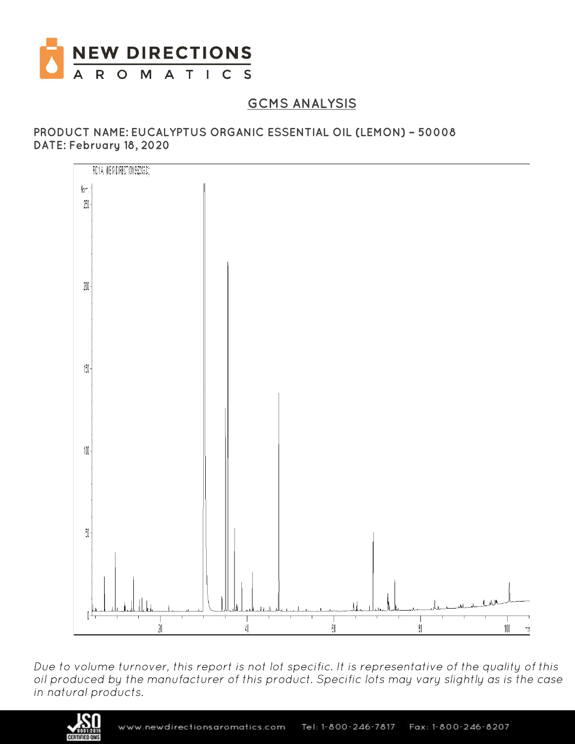

# **GCMS ANALYSIS**

### PRODUCT NAME: EUCALYPTUS ORGANIC ESSENTIAL OIL (LEMON) - 50008 DATE: February 18, 2020



Due to volume turnover, this report is not lot specific. It is representative of the quality of this<br>oil produced by the manufacturer of this product. Specific lots may vary slightly as is the case in natural products.

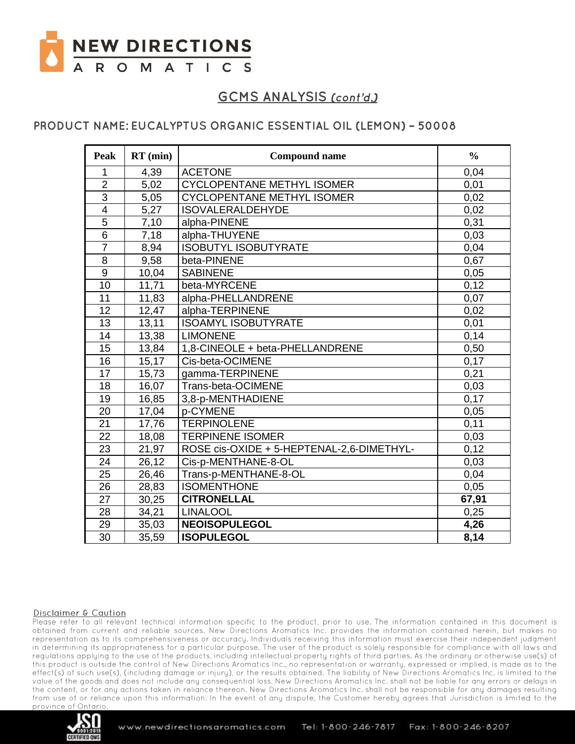

### PRODUCT NAME: EUCALYPTUS ORGANIC ESSENTIAL OIL (LEMON) - 50008

| Peak            | $RT$ (min) | <b>Compound name</b>                      | $\frac{6}{6}$ |
|-----------------|------------|-------------------------------------------|---------------|
| 1               | 4,39       | <b>ACETONE</b>                            | 0,04          |
| $\overline{2}$  | 5,02       | <b>CYCLOPENTANE METHYL ISOMER</b>         | 0,01          |
| $\overline{3}$  | 5,05       | <b>CYCLOPENTANE METHYL ISOMER</b>         | 0,02          |
| $\overline{4}$  | 5,27       | <b>ISOVALERALDEHYDE</b>                   | 0,02          |
| 5               | 7,10       | alpha-PINENE                              | 0,31          |
| $\overline{6}$  | 7,18       | alpha-THUYENE                             | 0,03          |
| $\overline{7}$  | 8,94       | <b>ISOBUTYL ISOBUTYRATE</b>               | 0,04          |
| 8               | 9,58       | beta-PINENE                               | 0,67          |
| $\overline{9}$  | 10,04      | <b>SABINENE</b>                           | 0,05          |
| 10              | 11,71      | beta-MYRCENE                              | 0,12          |
| 11              | 11,83      | alpha-PHELLANDRENE                        | 0,07          |
| 12              | 12,47      | alpha-TERPINENE                           | 0,02          |
| 13              | 13,11      | <b>ISOAMYL ISOBUTYRATE</b>                | 0,01          |
| 14              | 13,38      | <b>LIMONENE</b>                           | 0,14          |
| $\overline{15}$ | 13,84      | 1,8-CINEOLE + beta-PHELLANDRENE           | 0,50          |
| 16              | 15,17      | Cis-beta-OCIMENE                          | 0,17          |
| 17              | 15,73      | gamma-TERPINENE                           | 0,21          |
| 18              | 16,07      | Trans-beta-OCIMENE                        | 0,03          |
| 19              | 16,85      | 3,8-p-MENTHADIENE                         | 0,17          |
| 20              | 17,04      | p-CYMENE                                  | 0,05          |
| 21              | 17,76      | <b>TERPINOLENE</b>                        | 0,11          |
| 22              | 18,08      | <b>TERPINENE ISOMER</b>                   | 0,03          |
| 23              | 21,97      | ROSE cis-OXIDE + 5-HEPTENAL-2,6-DIMETHYL- | 0,12          |
| 24              | 26,12      | Cis-p-MENTHANE-8-OL                       | 0,03          |
| 25              | 26,46      | Trans-p-MENTHANE-8-OL                     | 0,04          |
| $\overline{26}$ | 28,83      | <b>ISOMENTHONE</b>                        | 0,05          |
| 27              | 30,25      | <b>CITRONELLAL</b>                        | 67,91         |
| 28              | 34,21      | <b>LINALOOL</b>                           | 0,25          |
| 29              | 35,03      | <b>NEOISOPULEGOL</b>                      | 4,26          |
| $\overline{30}$ | 35,59      | <b>ISOPULEGOL</b>                         | 8,14          |

#### Disclaimer & Caution

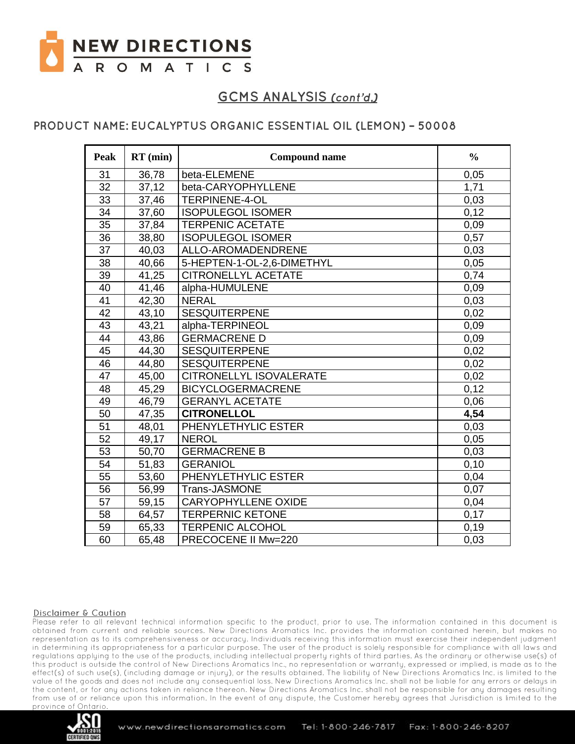

### PRODUCT NAME: EUCALYPTUS ORGANIC ESSENTIAL OIL (LEMON) - 50008

| Peak            | $RT$ (min) | <b>Compound name</b>       | $\frac{0}{0}$ |
|-----------------|------------|----------------------------|---------------|
| 31              | 36,78      | beta-ELEMENE               | 0,05          |
| 32              | 37,12      | beta-CARYOPHYLLENE         | 1,71          |
| 33              | 37,46      | <b>TERPINENE-4-OL</b>      | 0,03          |
| $\overline{34}$ | 37,60      | <b>ISOPULEGOL ISOMER</b>   | 0,12          |
| 35              | 37,84      | <b>TERPENIC ACETATE</b>    | 0,09          |
| 36              | 38,80      | <b>ISOPULEGOL ISOMER</b>   | 0,57          |
| 37              | 40,03      | ALLO-AROMADENDRENE         | 0,03          |
| 38              | 40,66      | 5-HEPTEN-1-OL-2,6-DIMETHYL | 0,05          |
| 39              | 41,25      | <b>CITRONELLYL ACETATE</b> | 0.74          |
| 40              | 41,46      | alpha-HUMULENE             | 0,09          |
| 41              | 42,30      | <b>NERAL</b>               | 0,03          |
| 42              | 43,10      | <b>SESQUITERPENE</b>       | 0,02          |
| 43              | 43,21      | alpha-TERPINEOL            | 0,09          |
| 44              | 43,86      | <b>GERMACRENE D</b>        | 0,09          |
| 45              | 44,30      | <b>SESQUITERPENE</b>       | 0,02          |
| 46              | 44,80      | <b>SESQUITERPENE</b>       | 0,02          |
| 47              | 45,00      | CITRONELLYL ISOVALERATE    | 0,02          |
| 48              | 45,29      | <b>BICYCLOGERMACRENE</b>   | 0,12          |
| 49              | 46,79      | <b>GERANYL ACETATE</b>     | 0,06          |
| 50              | 47,35      | <b>CITRONELLOL</b>         | 4,54          |
| 51              | 48,01      | PHENYLETHYLIC ESTER        | 0,03          |
| 52              | 49,17      | <b>NEROL</b>               | 0,05          |
| 53              | 50,70      | <b>GERMACRENE B</b>        | 0,03          |
| 54              | 51,83      | <b>GERANIOL</b>            | 0,10          |
| 55              | 53,60      | PHENYLETHYLIC ESTER        | 0,04          |
| 56              | 56,99      | Trans-JASMONE              | 0,07          |
| 57              | 59,15      | <b>CARYOPHYLLENE OXIDE</b> | 0,04          |
| 58              | 64,57      | <b>TERPERNIC KETONE</b>    | 0,17          |
| 59              | 65,33      | <b>TERPENIC ALCOHOL</b>    | 0,19          |
| 60              | 65,48      | PRECOCENE II Mw=220        | 0,03          |

#### Disclaimer & Caution

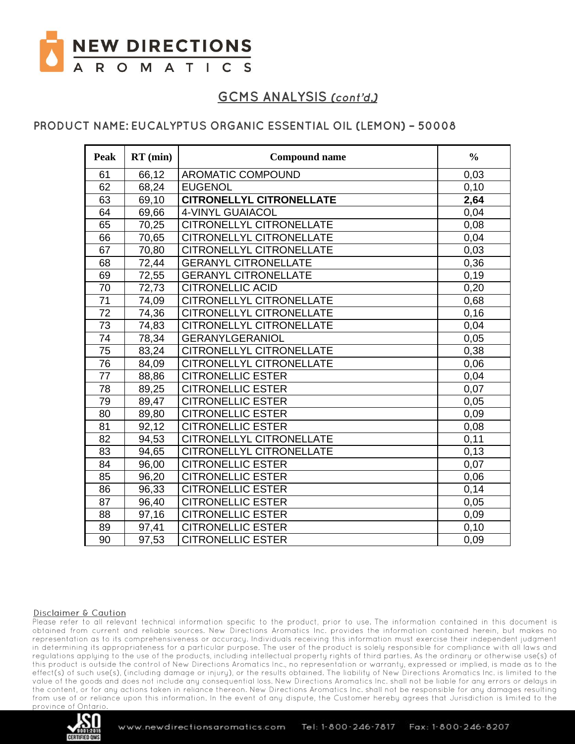

### PRODUCT NAME: EUCALYPTUS ORGANIC ESSENTIAL OIL (LEMON) - 50008

| <b>Peak</b>     | $RT$ (min) | <b>Compound name</b>            | $\frac{0}{0}$ |
|-----------------|------------|---------------------------------|---------------|
| 61              | 66,12      | <b>AROMATIC COMPOUND</b>        | 0,03          |
| 62              | 68,24      | <b>EUGENOL</b>                  | 0,10          |
| 63              | 69,10      | <b>CITRONELLYL CITRONELLATE</b> | 2,64          |
| 64              | 69,66      | 4-VINYL GUAIACOL                | 0,04          |
| 65              | 70,25      | CITRONELLYL CITRONELLATE        | 0,08          |
| 66              | 70,65      | CITRONELLYL CITRONELLATE        | 0,04          |
| 67              | 70,80      | <b>CITRONELLYL CITRONELLATE</b> | 0,03          |
| 68              | 72,44      | <b>GERANYL CITRONELLATE</b>     | 0,36          |
| 69              | 72,55      | <b>GERANYL CITRONELLATE</b>     | 0,19          |
| 70              | 72,73      | <b>CITRONELLIC ACID</b>         | 0,20          |
| 71              | 74,09      | CITRONELLYL CITRONELLATE        | 0,68          |
| 72              | 74,36      | CITRONELLYL CITRONELLATE        | 0,16          |
| 73              | 74,83      | CITRONELLYL CITRONELLATE        | 0,04          |
| 74              | 78,34      | <b>GERANYLGERANIOL</b>          | 0,05          |
| 75              | 83,24      | <b>CITRONELLYL CITRONELLATE</b> | 0,38          |
| $\overline{76}$ | 84,09      | CITRONELLYL CITRONELLATE        | 0,06          |
| 77              | 88,86      | <b>CITRONELLIC ESTER</b>        | 0,04          |
| 78              | 89,25      | <b>CITRONELLIC ESTER</b>        | 0,07          |
| 79              | 89,47      | <b>CITRONELLIC ESTER</b>        | 0,05          |
| 80              | 89,80      | <b>CITRONELLIC ESTER</b>        | 0,09          |
| 81              | 92,12      | <b>CITRONELLIC ESTER</b>        | 0,08          |
| 82              | 94,53      | CITRONELLYL CITRONELLATE        | 0,11          |
| 83              | 94,65      | CITRONELLYL CITRONELLATE        | 0,13          |
| 84              | 96,00      | <b>CITRONELLIC ESTER</b>        | 0,07          |
| 85              | 96,20      | <b>CITRONELLIC ESTER</b>        | 0,06          |
| 86              | 96,33      | <b>CITRONELLIC ESTER</b>        | 0,14          |
| 87              | 96,40      | <b>CITRONELLIC ESTER</b>        | 0,05          |
| 88              | 97,16      | <b>CITRONELLIC ESTER</b>        | 0,09          |
| 89              | 97,41      | <b>CITRONELLIC ESTER</b>        | 0,10          |
| 90              | 97,53      | <b>CITRONELLIC ESTER</b>        | 0,09          |

#### Disclaimer & Caution